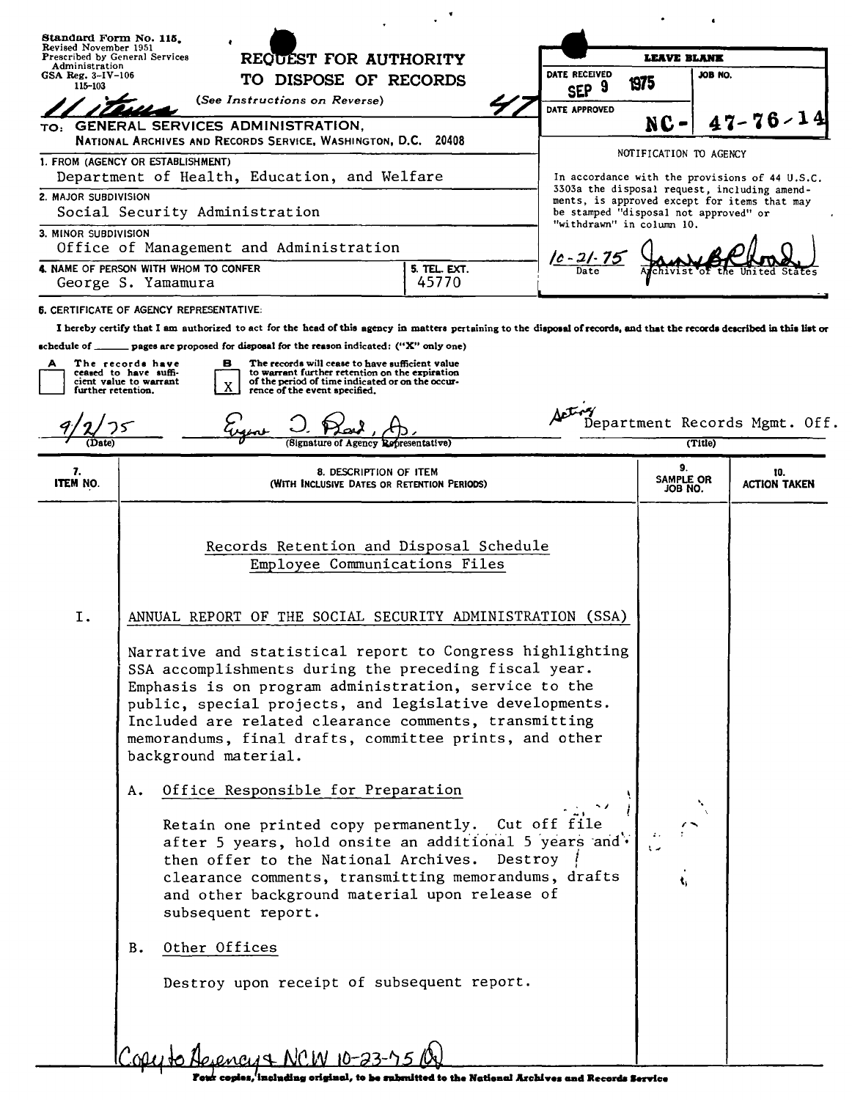| Administration<br>GSA Reg. $3-IV-106$<br>$115 - 103$ | Standard Form No. 115.<br>Revised November 1951<br>Prescribed by General Services<br>REQUEST FOR AUTHORITY                                                                                                                                                                                                                                                                                                                                                                                                                       |                           | <b>LEAVE BLANK</b>                                                                                                                    |                                                |
|------------------------------------------------------|----------------------------------------------------------------------------------------------------------------------------------------------------------------------------------------------------------------------------------------------------------------------------------------------------------------------------------------------------------------------------------------------------------------------------------------------------------------------------------------------------------------------------------|---------------------------|---------------------------------------------------------------------------------------------------------------------------------------|------------------------------------------------|
|                                                      | DATE RECEIVED<br>TO DISPOSE OF RECORDS                                                                                                                                                                                                                                                                                                                                                                                                                                                                                           |                           | JOB NO.                                                                                                                               |                                                |
|                                                      | (See Instructions on Reverse)                                                                                                                                                                                                                                                                                                                                                                                                                                                                                                    | SEP <sub>9</sub>          | 1975                                                                                                                                  |                                                |
|                                                      | TO: GENERAL SERVICES ADMINISTRATION,                                                                                                                                                                                                                                                                                                                                                                                                                                                                                             | DATE APPROVED             | NC                                                                                                                                    | $47 - 76 - 1$                                  |
|                                                      | NATIONAL ARCHIVES AND RECORDS SERVICE, WASHINGTON, D.C. 20408                                                                                                                                                                                                                                                                                                                                                                                                                                                                    |                           |                                                                                                                                       |                                                |
|                                                      | 1. FROM (AGENCY OR ESTABLISHMENT)<br>Department of Health, Education, and Welfare                                                                                                                                                                                                                                                                                                                                                                                                                                                |                           | NOTIFICATION TO AGENCY                                                                                                                | In accordance with the provisions of 44 U.S.C. |
| 2. MAJOR SUBDIVISION                                 | Social Security Administration                                                                                                                                                                                                                                                                                                                                                                                                                                                                                                   |                           | 3303a the disposal request, including amend-<br>ments, is approved except for items that may<br>be stamped "disposal not approved" or |                                                |
| 3. MINOR SUBDIVISION                                 | Office of Management and Administration                                                                                                                                                                                                                                                                                                                                                                                                                                                                                          | "withdrawn" in column 10. |                                                                                                                                       |                                                |
|                                                      | 4. NAME OF PERSON WITH WHOM TO CONFER<br>5. TEL. EXT.                                                                                                                                                                                                                                                                                                                                                                                                                                                                            | <u>10 - 21 - 75</u>       |                                                                                                                                       |                                                |
|                                                      | 45770<br>George S. Yamamura                                                                                                                                                                                                                                                                                                                                                                                                                                                                                                      |                           |                                                                                                                                       |                                                |
| schedule of ____<br>further retention.               | I hereby certify that I am authorized to act for the head of this agency in matters pertaining to the disposal of records, and that the records described in this list or<br>pages are proposed for disposal for the reason indicated: ("X" only one)<br>The records have<br>в<br>The records will cease to have sufficient value<br>to warrant further retention on the expiration<br>ceased to have suffi-<br>cient value to warrant<br>of the period of time indicated or on the occur-<br>X<br>rence of the event specified. |                           |                                                                                                                                       | Department Records Mgmt. Off.                  |
| (Date)                                               | (Signature of Agency Representative)                                                                                                                                                                                                                                                                                                                                                                                                                                                                                             |                           | (Title)                                                                                                                               |                                                |
| 7.<br>ITEM NO.                                       | 8. DESCRIPTION OF ITEM<br>(WITH Inclusive Dates or Retention Periods)                                                                                                                                                                                                                                                                                                                                                                                                                                                            |                           | 9.<br>SAMPLE OR                                                                                                                       | 10.<br><b>ACTION TAKEN</b>                     |
|                                                      |                                                                                                                                                                                                                                                                                                                                                                                                                                                                                                                                  |                           | JOB NO.                                                                                                                               |                                                |
| I.                                                   | Employee Communications Files<br>ANNUAL REPORT OF THE SOCIAL SECURITY ADMINISTRATION (SSA)<br>Narrative and statistical report to Congress highlighting<br>SSA accomplishments during the preceding fiscal year.<br>Emphasis is on program administration, service to the                                                                                                                                                                                                                                                        |                           |                                                                                                                                       |                                                |

 $\ddot{\phantom{0}}$ 

٦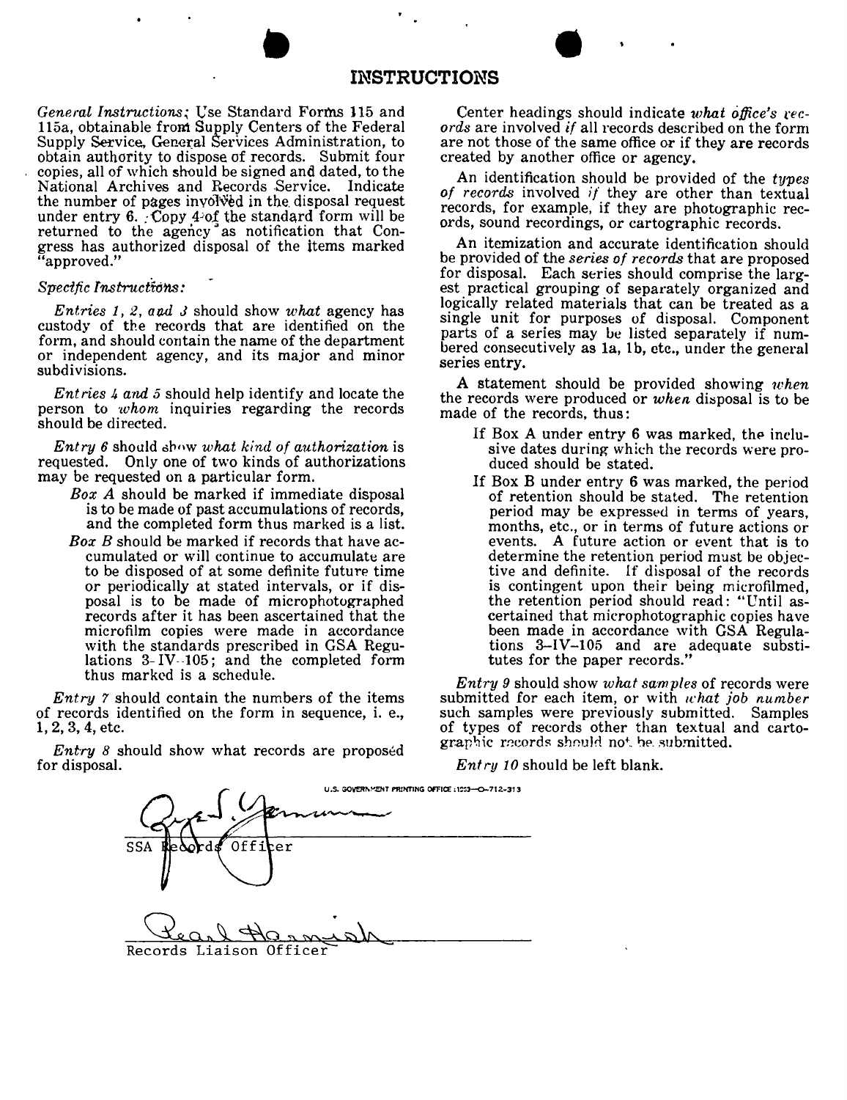### **INSTRUCTIONS**

*General Instructions;* Use Standard Forms 115 and lI5a, obtainable from Supply Centers of the Federal Supply Service. General Services Administration, to obtain authority to dispose of records. Submit four copies, all of which should be signed and dated, to the National Archives and Records .Service, Indicate the number of pages involved in the disposal request under entry  $6.$  Copy 4~of the standard form will be returned to the agency" as notification that Congress has authorized disposal of the items marke "approved."

**•** 

#### *Specific Insiructions :*

*Entries* 1, 2, *atul* J should show *what* agency has custody of the records that are identified on the form, and should contain the name of the department or independent agency, and its major and minor subdivisions.

*Ent ries* 4 *and* 5 should help identify and locate the person to *whom* inquiries regarding the records should be directed.

*Entry* 6 should dhow *what kind of authorization* is requested. Only one of two kinds of authorizations may be requested on a particular form.

- *Box A* should be marked if immediate disposal is to be made of past accumulations of records, and the completed form thus marked is a list.
- *Box B* should be marked if records that have accumulated or will continue to accumulate are to be disposed of at some definite future time or periodically at stated intervals, or if disposal is to be made of microphotographed records after it has been ascertained that the microfilm copies were made in accordance with the standards prescribed in GSA Regulations 3-IV-105; and the completed form thus marked is a schedule.

*Entry* 7 should contain the numbers of the items *Divery r* should contain the humbers of the form of records identified on the form in sequence, i. e., 1,2,3,4, etc.

*Entry 8* should show what records are propose for disposal.

Center headings should indicate what office's rec*ords* are involved *if* all records described on the form are not those of the same office or if they are records created by another office or agency.

An identification should be provided of the *types of records* involved *if* they are other than textual records, for example, if they are photographic records, sound recordings, or cartographic records.

An itemization and accurate identification should be provided of the *se-ries of records* that are proposed for disposal. Each series should comprise the largest practical grouping of separately organized and logically related materials that can be treated as a single unit for purposes of disposal. Component parts of a series may be listed separately if numbered consecutively as 1a, 1b, etc., under the general series entry.

A statement should be provided showing *when* the records were produced or *when* disposal is to be made of the records, thus:

- If Box <sup>A</sup> under entry 6 was marked, the inclusive dates during which the records were produced should be stated.
- If Box <sup>B</sup> under entry <sup>6</sup> was marked, the period of retention should be stated. The retention period may be expressed in terms of years, months, etc., or in terms of future actions or events. A future action or event that is to determine the retention period must be objective and definite. If disposal of the records is contingent upon their being microfilmed, the retention period should read: "Until ascertained that microphotographic copies have tions  $3-HV-105$  and are adequate substitutes for the paper records."

*Entry* 9 should show *what samples* of records were submitted for each item, or with *what job number* such samples were previously submitted. Samples of types of records other than textual and carto-<br>graphic records should not be submitted.

*Ent ru 10* should be left blank.

|                         | U.S. GOVERNMENT PRINTING OFFICE: 1253-O-712-313 |
|-------------------------|-------------------------------------------------|
|                         |                                                 |
| Officer<br>SSA          |                                                 |
|                         |                                                 |
|                         |                                                 |
|                         |                                                 |
| Records Liaison Officer |                                                 |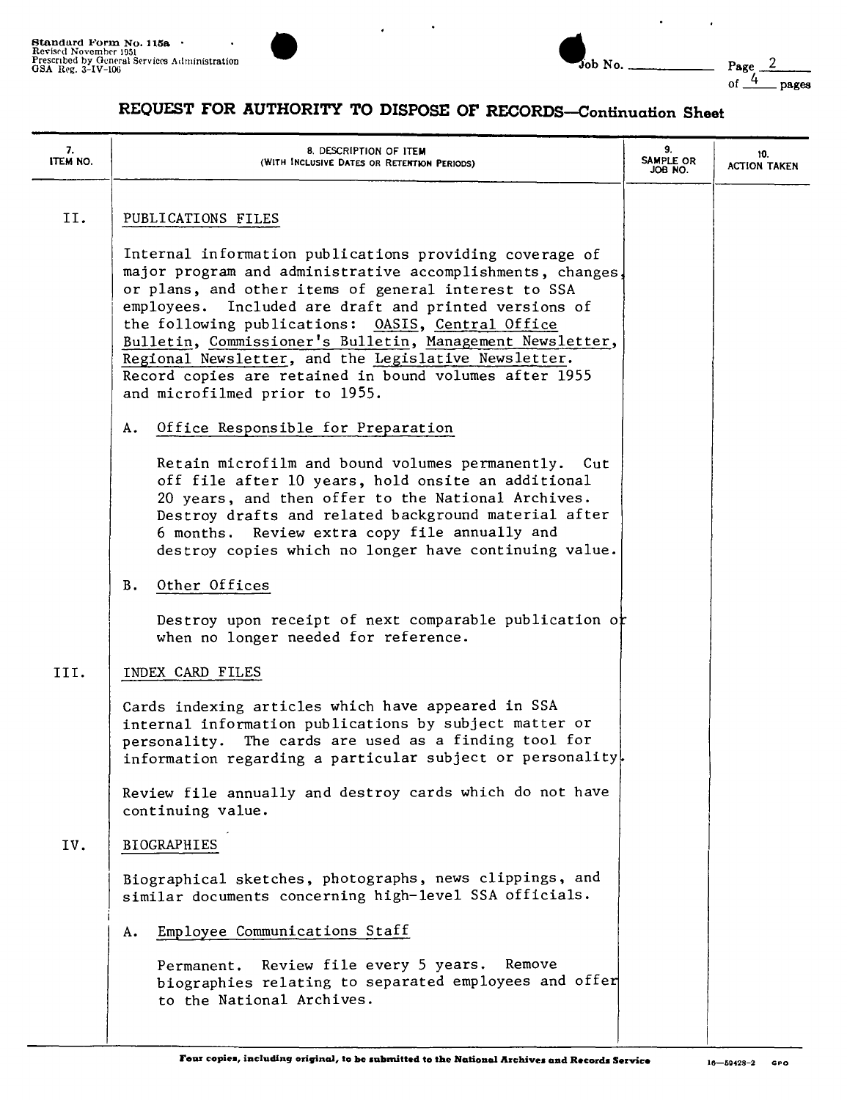

| $\nightharpoondown$ No. | Page<br>$\frac{4}{\sqrt{2}}$ pages |
|-------------------------|------------------------------------|
|-------------------------|------------------------------------|

 $\ddot{\phantom{0}}$ 

 $\ddot{\phantom{0}}$ 

# **REQUEST FOR AUTHORITY TO DISPOSE OF RECORDS-Continuation Sheet**

| 7.<br>ITEM NO. | 8. DESCRIPTION OF ITEM<br>(WITH INCLUSIVE DATES OR RETENTION PERIODS)                                                                                                                                                                                                                                                                                                                                                                                                                                        | 9.<br>SAMPLE OR<br>JOB NO. | 10.<br><b>ACTION TAKEN</b> |
|----------------|--------------------------------------------------------------------------------------------------------------------------------------------------------------------------------------------------------------------------------------------------------------------------------------------------------------------------------------------------------------------------------------------------------------------------------------------------------------------------------------------------------------|----------------------------|----------------------------|
| II.            | PUBLICATIONS FILES                                                                                                                                                                                                                                                                                                                                                                                                                                                                                           |                            |                            |
|                | Internal information publications providing coverage of<br>major program and administrative accomplishments, changes.<br>or plans, and other items of general interest to SSA<br>employees. Included are draft and printed versions of<br>the following publications: OASIS, Central Office<br>Bulletin, Commissioner's Bulletin, Management Newsletter,<br>Regional Newsletter, and the Legislative Newsletter.<br>Record copies are retained in bound volumes after 1955<br>and microfilmed prior to 1955. |                            |                            |
|                | Office Responsible for Preparation<br>Α.                                                                                                                                                                                                                                                                                                                                                                                                                                                                     |                            |                            |
|                | Retain microfilm and bound volumes permanently. Cut<br>off file after 10 years, hold onsite an additional<br>20 years, and then offer to the National Archives.<br>Destroy drafts and related background material after<br>6 months. Review extra copy file annually and<br>destroy copies which no longer have continuing value.                                                                                                                                                                            |                            |                            |
|                | Other Offices<br>В.                                                                                                                                                                                                                                                                                                                                                                                                                                                                                          |                            |                            |
|                | Destroy upon receipt of next comparable publication or<br>when no longer needed for reference.                                                                                                                                                                                                                                                                                                                                                                                                               |                            |                            |
| III.           | INDEX CARD FILES                                                                                                                                                                                                                                                                                                                                                                                                                                                                                             |                            |                            |
|                | Cards indexing articles which have appeared in SSA<br>internal information publications by subject matter or<br>The cards are used as a finding tool for<br>personality.<br>information regarding a particular subject or personality.                                                                                                                                                                                                                                                                       |                            |                            |
|                | Review file annually and destroy cards which do not have<br>continuing value.                                                                                                                                                                                                                                                                                                                                                                                                                                |                            |                            |
| IV.            | BIOGRAPHIES                                                                                                                                                                                                                                                                                                                                                                                                                                                                                                  |                            |                            |
|                | Biographical sketches, photographs, news clippings, and<br>similar documents concerning high-level SSA officials.                                                                                                                                                                                                                                                                                                                                                                                            |                            |                            |
|                | Employee Communications Staff<br>Α.                                                                                                                                                                                                                                                                                                                                                                                                                                                                          |                            |                            |
|                | Review file every 5 years.<br>Remove<br>Permanent.<br>biographies relating to separated employees and offer<br>to the National Archives.                                                                                                                                                                                                                                                                                                                                                                     |                            |                            |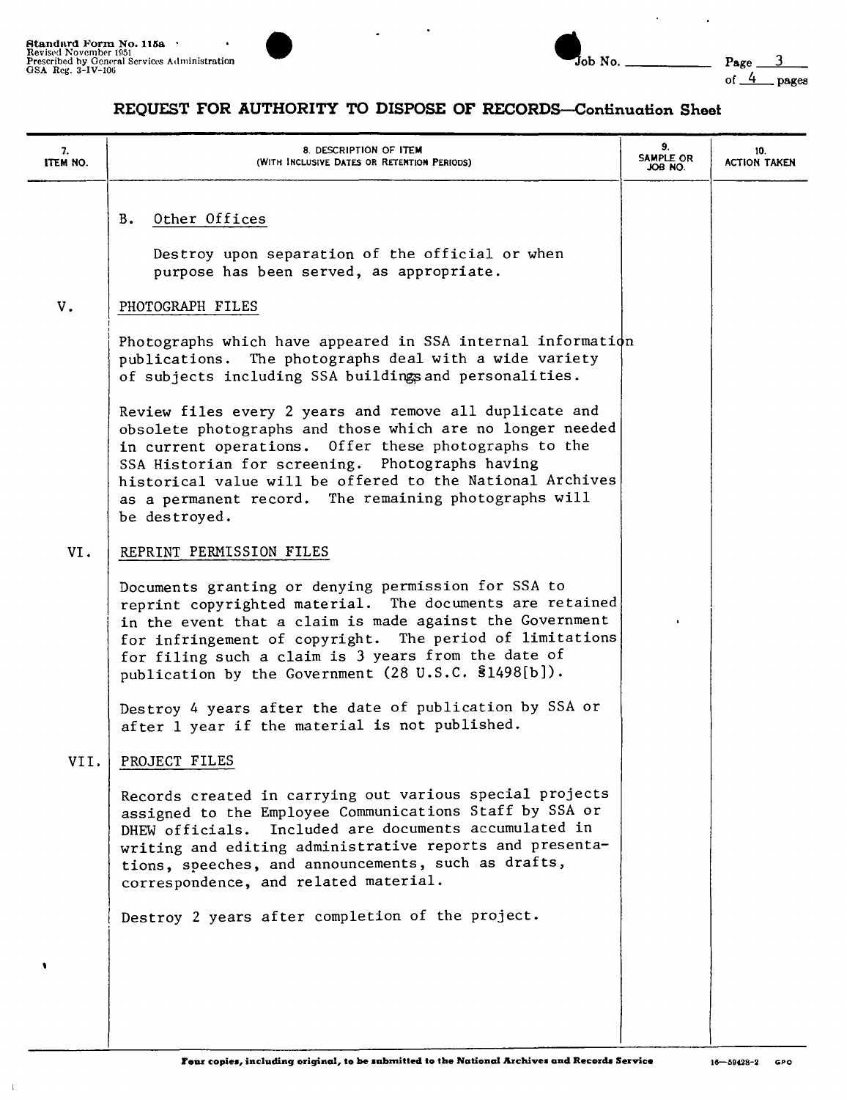$\mathbf 1$ 



| Tob No. |  |
|---------|--|

 $\ddot{\phantom{0}}$ 

 $\ddot{\phantom{a}}$ 

### **REQUEST FOR AUTHORITY TO DISPOSE OF RECORD8-Connnuation Sheet**

| 7.<br>ITEM NO. | 8. DESCRIPTION OF ITEM<br>(WITH INCLUSIVE DATES OR RETENTION PERIODS)                                                                                                                                                                                                                                                                                                   | 9.<br>SAMPLE OR<br>JOB NO. | 10.<br><b>ACTION TAKEN</b> |
|----------------|-------------------------------------------------------------------------------------------------------------------------------------------------------------------------------------------------------------------------------------------------------------------------------------------------------------------------------------------------------------------------|----------------------------|----------------------------|
|                | Other Offices<br>Β.<br>Destroy upon separation of the official or when<br>purpose has been served, as appropriate.                                                                                                                                                                                                                                                      |                            |                            |
| ${\tt V}$ .    | PHOTOGRAPH FILES                                                                                                                                                                                                                                                                                                                                                        |                            |                            |
|                | Photographs which have appeared in SSA internal information<br>publications. The photographs deal with a wide variety<br>of subjects including SSA buildings and personalities.                                                                                                                                                                                         |                            |                            |
|                | Review files every 2 years and remove all duplicate and<br>obsolete photographs and those which are no longer needed<br>in current operations. Offer these photographs to the<br>SSA Historian for screening. Photographs having<br>historical value will be offered to the National Archives<br>as a permanent record. The remaining photographs will<br>be destroyed. |                            |                            |
| VI.            | REPRINT PERMISSION FILES                                                                                                                                                                                                                                                                                                                                                |                            |                            |
|                | Documents granting or denying permission for SSA to<br>reprint copyrighted material. The documents are retained<br>in the event that a claim is made against the Government<br>for infringement of copyright. The period of limitations<br>for filing such a claim is 3 years from the date of<br>publication by the Government (28 U.S.C. §1498[b]).                   |                            |                            |
|                | Destroy 4 years after the date of publication by SSA or<br>after 1 year if the material is not published.                                                                                                                                                                                                                                                               |                            |                            |
| VII.           | PROJECT FILES                                                                                                                                                                                                                                                                                                                                                           |                            |                            |
|                | Records created in carrying out various special projects<br>assigned to the Employee Communications Staff by SSA or<br>Included are documents accumulated in<br>DHEW officials.<br>writing and editing administrative reports and presenta-<br>tions, speeches, and announcements, such as drafts,<br>correspondence, and related material.                             |                            |                            |
|                | Destroy 2 years after completion of the project.                                                                                                                                                                                                                                                                                                                        |                            |                            |
|                |                                                                                                                                                                                                                                                                                                                                                                         |                            |                            |